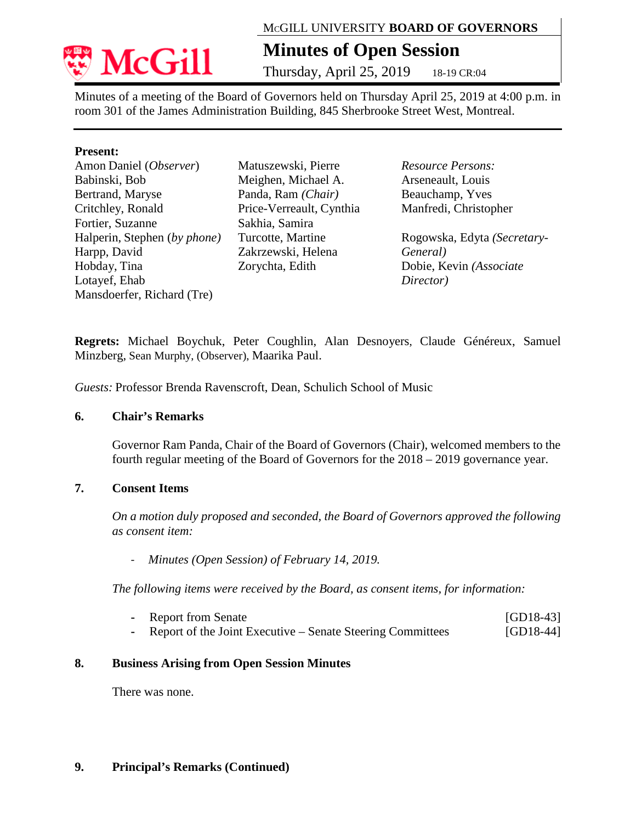

# MCGILL UNIVERSITY **BOARD OF GOVERNORS**

# **Minutes of Open Session**

Thursday, April 25, 2019 18-19 CR:04

Minutes of a meeting of the Board of Governors held on Thursday April 25, 2019 at 4:00 p.m. in room 301 of the James Administration Building, 845 Sherbrooke Street West, Montreal.

## **Present:**

Amon Daniel (*Observer*) Babinski, Bob Bertrand, Maryse Critchley, Ronald Fortier, Suzanne Halperin, Stephen (*by phone)* Harpp, David Hobday, Tina Lotayef, Ehab Mansdoerfer, Richard (Tre)

Matuszewski, Pierre Meighen, Michael A. Panda, Ram *(Chair)*  Price-Verreault, Cynthia Sakhia, Samira Turcotte, Martine Zakrzewski, Helena Zorychta, Edith

*Resource Persons:* Arseneault, Louis Beauchamp, Yves Manfredi, Christopher

Rogowska, Edyta *(Secretary-General)* Dobie, Kevin *(Associate Director)*

**Regrets:** Michael Boychuk, Peter Coughlin, Alan Desnoyers, Claude Généreux, Samuel Minzberg, Sean Murphy, (Observer), Maarika Paul.

*Guests:* Professor Brenda Ravenscroft, Dean, Schulich School of Music

## **6. Chair's Remarks**

Governor Ram Panda, Chair of the Board of Governors (Chair), welcomed members to the fourth regular meeting of the Board of Governors for the 2018 – 2019 governance year.

# **7. Consent Items**

*On a motion duly proposed and seconded, the Board of Governors approved the following as consent item:*

- *Minutes (Open Session) of February 14, 2019.* 

*The following items were received by the Board, as consent items, for information:* 

| - Report from Senate                                         | $[GD18-43]$ |
|--------------------------------------------------------------|-------------|
| - Report of the Joint Executive – Senate Steering Committees | $[GD18-44]$ |

## **8. Business Arising from Open Session Minutes**

There was none.

# **9. Principal's Remarks (Continued)**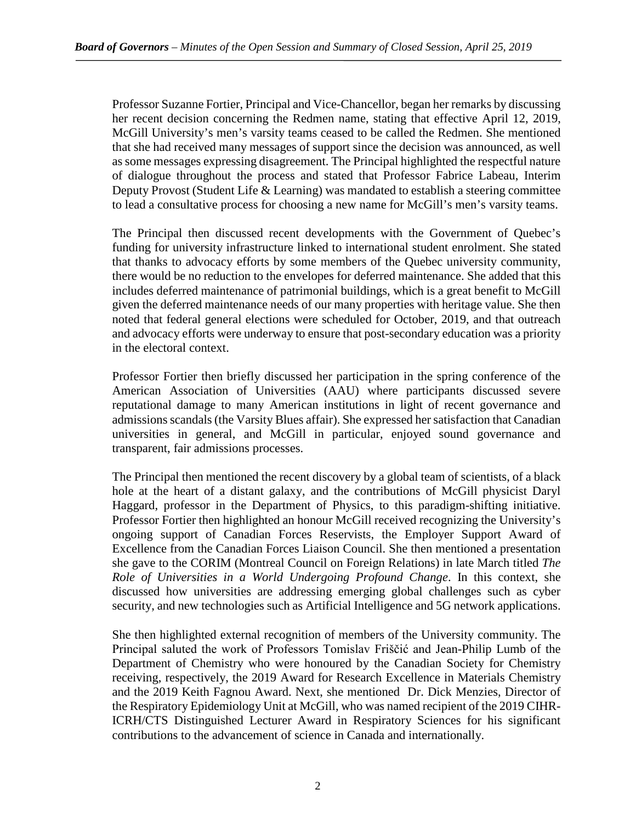Professor Suzanne Fortier, Principal and Vice-Chancellor, began her remarks by discussing her recent decision concerning the Redmen name, stating that effective April 12, 2019, McGill University's men's varsity teams ceased to be called the Redmen. She mentioned that she had received many messages of support since the decision was announced, as well as some messages expressing disagreement. The Principal highlighted the respectful nature of dialogue throughout the process and stated that Professor Fabrice Labeau, Interim Deputy Provost (Student Life & Learning) was mandated to establish a steering committee to lead a consultative process for choosing a new name for McGill's men's varsity teams.

The Principal then discussed recent developments with the Government of Quebec's funding for university infrastructure linked to international student enrolment. She stated that thanks to advocacy efforts by some members of the Quebec university community, there would be no reduction to the envelopes for deferred maintenance. She added that this includes deferred maintenance of patrimonial buildings, which is a great benefit to McGill given the deferred maintenance needs of our many properties with heritage value. She then noted that federal general elections were scheduled for October, 2019, and that outreach and advocacy efforts were underway to ensure that post-secondary education was a priority in the electoral context.

Professor Fortier then briefly discussed her participation in the spring conference of the American Association of Universities (AAU) where participants discussed severe reputational damage to many American institutions in light of recent governance and admissions scandals (the Varsity Blues affair). She expressed her satisfaction that Canadian universities in general, and McGill in particular, enjoyed sound governance and transparent, fair admissions processes.

The Principal then mentioned the recent discovery by a global team of scientists, of a black hole at the heart of a distant galaxy, and the contributions of McGill physicist Daryl Haggard, professor in the Department of Physics, to this paradigm-shifting initiative. Professor Fortier then highlighted an honour McGill received recognizing the University's ongoing support of Canadian Forces Reservists, the Employer Support Award of Excellence from the Canadian Forces Liaison Council. She then mentioned a presentation she gave to the CORIM (Montreal Council on Foreign Relations) in late March titled *The Role of Universities in a World Undergoing Profound Change*. In this context, she discussed how universities are addressing emerging global challenges such as cyber security, and new technologies such as Artificial Intelligence and 5G network applications.

She then highlighted external recognition of members of the University community. The Principal saluted the work of Professors Tomislav Friščić and Jean-Philip Lumb of the Department of Chemistry who were honoured by the Canadian Society for Chemistry receiving, respectively, the 2019 Award for Research Excellence in Materials Chemistry and the 2019 Keith Fagnou Award. Next, she mentioned Dr. Dick Menzies, Director of the Respiratory Epidemiology Unit at McGill, who was named recipient of the 2019 CIHR-ICRH/CTS Distinguished Lecturer Award in Respiratory Sciences for his significant contributions to the advancement of science in Canada and internationally.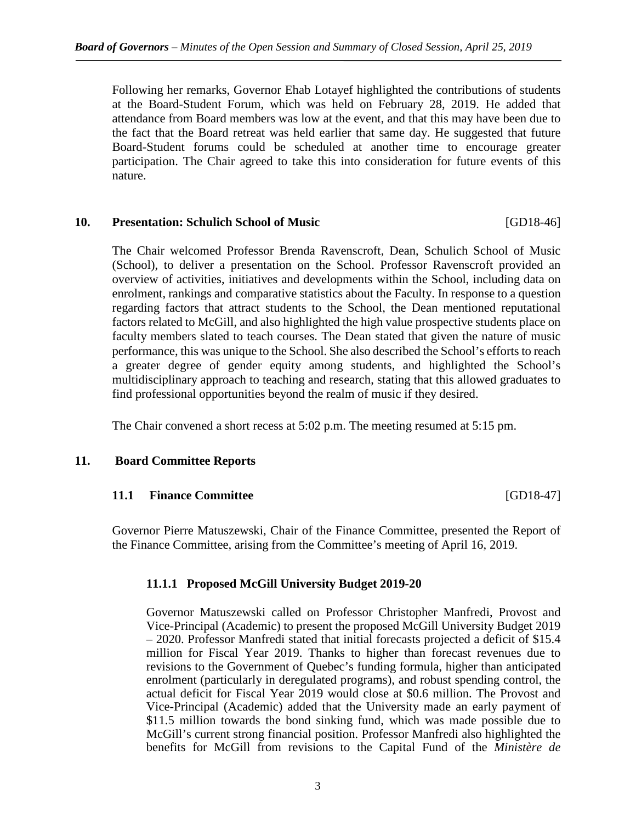Following her remarks, Governor Ehab Lotayef highlighted the contributions of students at the Board-Student Forum, which was held on February 28, 2019. He added that attendance from Board members was low at the event, and that this may have been due to the fact that the Board retreat was held earlier that same day. He suggested that future Board-Student forums could be scheduled at another time to encourage greater participation. The Chair agreed to take this into consideration for future events of this nature.

#### **10. Presentation: Schulich School of Music** [GD18-46]

The Chair welcomed Professor Brenda Ravenscroft, Dean, Schulich School of Music (School), to deliver a presentation on the School. Professor Ravenscroft provided an overview of activities, initiatives and developments within the School, including data on enrolment, rankings and comparative statistics about the Faculty. In response to a question regarding factors that attract students to the School, the Dean mentioned reputational factors related to McGill, and also highlighted the high value prospective students place on faculty members slated to teach courses. The Dean stated that given the nature of music performance, this was unique to the School. She also described the School's efforts to reach a greater degree of gender equity among students, and highlighted the School's multidisciplinary approach to teaching and research, stating that this allowed graduates to find professional opportunities beyond the realm of music if they desired.

The Chair convened a short recess at 5:02 p.m. The meeting resumed at 5:15 pm.

## **11. Board Committee Reports**

## **11.1 Finance Committee** [GD18-47]

Governor Pierre Matuszewski, Chair of the Finance Committee, presented the Report of the Finance Committee, arising from the Committee's meeting of April 16, 2019.

## **11.1.1 Proposed McGill University Budget 2019-20**

Governor Matuszewski called on Professor Christopher Manfredi, Provost and Vice-Principal (Academic) to present the proposed McGill University Budget 2019 – 2020. Professor Manfredi stated that initial forecasts projected a deficit of \$15.4 million for Fiscal Year 2019. Thanks to higher than forecast revenues due to revisions to the Government of Quebec's funding formula, higher than anticipated enrolment (particularly in deregulated programs), and robust spending control, the actual deficit for Fiscal Year 2019 would close at \$0.6 million. The Provost and Vice-Principal (Academic) added that the University made an early payment of \$11.5 million towards the bond sinking fund, which was made possible due to McGill's current strong financial position. Professor Manfredi also highlighted the benefits for McGill from revisions to the Capital Fund of the *Ministère de*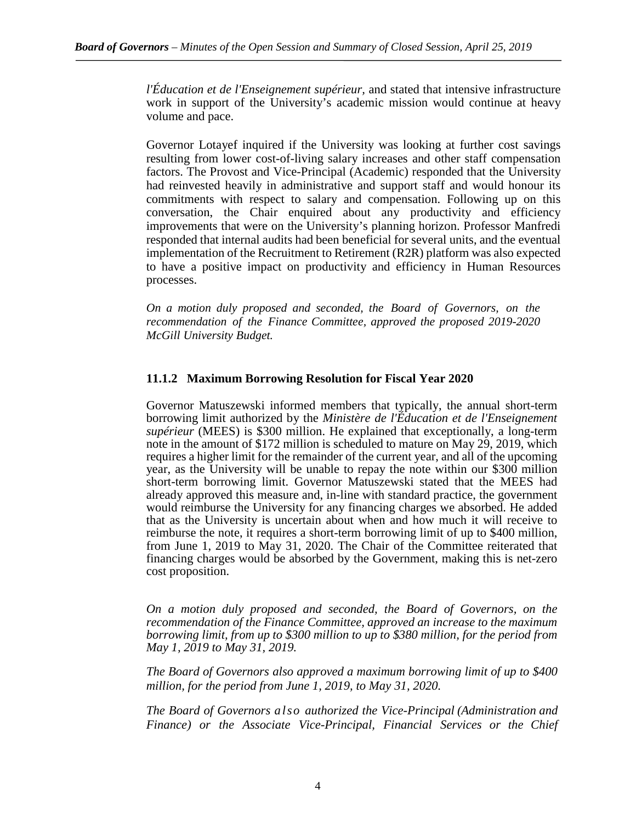*l'Éducation et de l'Enseignement supérieur,* and stated that intensive infrastructure work in support of the University's academic mission would continue at heavy volume and pace.

Governor Lotayef inquired if the University was looking at further cost savings resulting from lower cost-of-living salary increases and other staff compensation factors. The Provost and Vice-Principal (Academic) responded that the University had reinvested heavily in administrative and support staff and would honour its commitments with respect to salary and compensation. Following up on this conversation, the Chair enquired about any productivity and efficiency improvements that were on the University's planning horizon. Professor Manfredi responded that internal audits had been beneficial for several units, and the eventual implementation of the Recruitment to Retirement (R2R) platform was also expected to have a positive impact on productivity and efficiency in Human Resources processes.

*On a motion duly proposed and seconded, the Board of Governors, on the recommendation of the Finance Committee, approved the proposed 2019-2020 McGill University Budget.*

## **11.1.2 Maximum Borrowing Resolution for Fiscal Year 2020**

Governor Matuszewski informed members that typically, the annual short-term borrowing limit authorized by the *Ministère de l'Éducation et de l'Enseignement supérieur* (MEES) is \$300 million. He explained that exceptionally, a long-term note in the amount of \$172 million is scheduled to mature on May 29, 2019, which requires a higher limit for the remainder of the current year, and all of the upcoming year, as the University will be unable to repay the note within our \$300 million short-term borrowing limit. Governor Matuszewski stated that the MEES had already approved this measure and, in-line with standard practice, the government would reimburse the University for any financing charges we absorbed. He added that as the University is uncertain about when and how much it will receive to reimburse the note, it requires a short-term borrowing limit of up to \$400 million, from June 1, 2019 to May 31, 2020. The Chair of the Committee reiterated that financing charges would be absorbed by the Government, making this is net-zero cost proposition.

*On a motion duly proposed and seconded, the Board of Governors, on the recommendation of the Finance Committee, approved an increase to the maximum borrowing limit, from up to \$300 million to up to \$380 million, for the period from May 1, 2019 to May 31, 2019.*

*The Board of Governors also approved a maximum borrowing limit of up to \$400 million, for the period from June 1, 2019, to May 31, 2020.*

*The Board of Governors also authorized the Vice-Principal (Administration and Finance) or the Associate Vice-Principal, Financial Services or the Chief*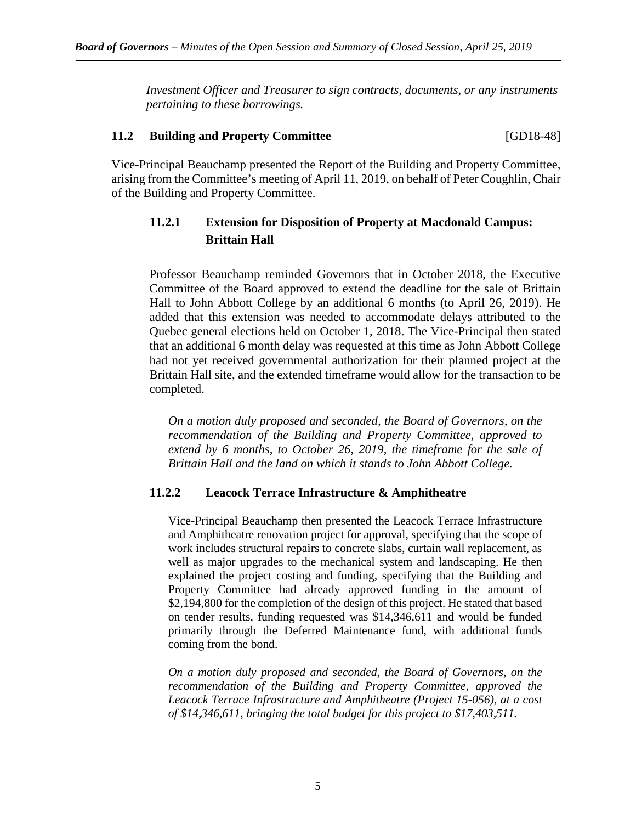*Investment Officer and Treasurer to sign contracts, documents, or any instruments pertaining to these borrowings.*

# **11.2 Building and Property Committee** [GD18-48]

Vice-Principal Beauchamp presented the Report of the Building and Property Committee, arising from the Committee's meeting of April 11, 2019, on behalf of Peter Coughlin, Chair of the Building and Property Committee.

# **11.2.1 Extension for Disposition of Property at Macdonald Campus: Brittain Hall**

Professor Beauchamp reminded Governors that in October 2018, the Executive Committee of the Board approved to extend the deadline for the sale of Brittain Hall to John Abbott College by an additional 6 months (to April 26, 2019). He added that this extension was needed to accommodate delays attributed to the Quebec general elections held on October 1, 2018. The Vice-Principal then stated that an additional 6 month delay was requested at this time as John Abbott College had not yet received governmental authorization for their planned project at the Brittain Hall site, and the extended timeframe would allow for the transaction to be completed.

*On a motion duly proposed and seconded, the Board of Governors, on the recommendation of the Building and Property Committee, approved to extend by 6 months, to October 26, 2019, the timeframe for the sale of Brittain Hall and the land on which it stands to John Abbott College.*

## **11.2.2 Leacock Terrace Infrastructure & Amphitheatre**

Vice-Principal Beauchamp then presented the Leacock Terrace Infrastructure and Amphitheatre renovation project for approval, specifying that the scope of work includes structural repairs to concrete slabs, curtain wall replacement, as well as major upgrades to the mechanical system and landscaping. He then explained the project costing and funding, specifying that the Building and Property Committee had already approved funding in the amount of \$2,194,800 for the completion of the design of this project. He stated that based on tender results, funding requested was \$14,346,611 and would be funded primarily through the Deferred Maintenance fund, with additional funds coming from the bond.

*On a motion duly proposed and seconded, the Board of Governors, on the recommendation of the Building and Property Committee, approved the Leacock Terrace Infrastructure and Amphitheatre (Project 15-056), at a cost of \$14,346,611, bringing the total budget for this project to \$17,403,511.*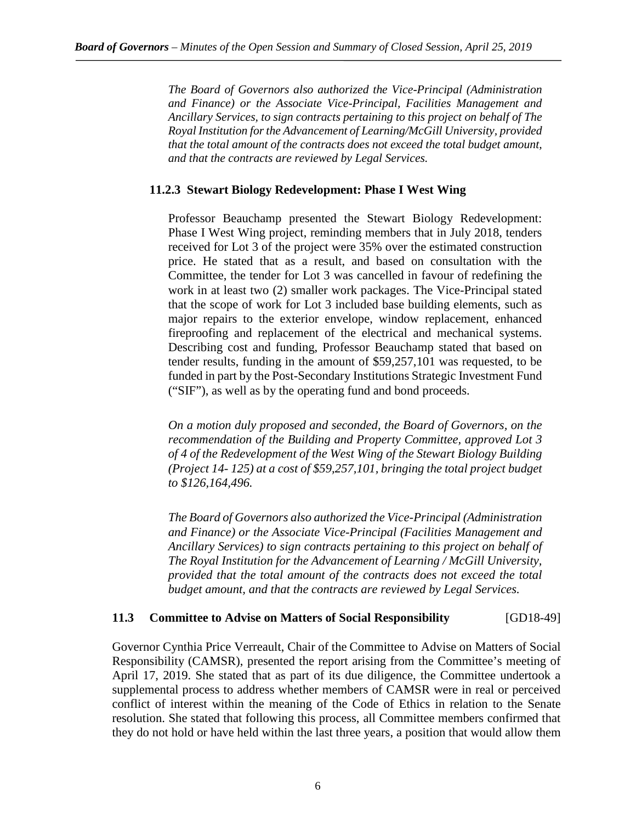*The Board of Governors also authorized the Vice-Principal (Administration and Finance) or the Associate Vice-Principal, Facilities Management and Ancillary Services, to sign contracts pertaining to this project on behalf of The Royal Institution for the Advancement of Learning/McGill University, provided that the total amount of the contracts does not exceed the total budget amount, and that the contracts are reviewed by Legal Services.*

## **11.2.3 Stewart Biology Redevelopment: Phase I West Wing**

Professor Beauchamp presented the Stewart Biology Redevelopment: Phase I West Wing project, reminding members that in July 2018, tenders received for Lot 3 of the project were 35% over the estimated construction price. He stated that as a result, and based on consultation with the Committee, the tender for Lot 3 was cancelled in favour of redefining the work in at least two (2) smaller work packages. The Vice-Principal stated that the scope of work for Lot 3 included base building elements, such as major repairs to the exterior envelope, window replacement, enhanced fireproofing and replacement of the electrical and mechanical systems. Describing cost and funding, Professor Beauchamp stated that based on tender results, funding in the amount of \$59,257,101 was requested, to be funded in part by the Post-Secondary Institutions Strategic Investment Fund ("SIF"), as well as by the operating fund and bond proceeds.

*On a motion duly proposed and seconded, the Board of Governors, on the recommendation of the Building and Property Committee, approved Lot 3 of 4 of the Redevelopment of the West Wing of the Stewart Biology Building (Project 14- 125) at a cost of \$59,257,101, bringing the total project budget to \$126,164,496.*

*The Board of Governors also authorized the Vice-Principal (Administration and Finance) or the Associate Vice-Principal (Facilities Management and Ancillary Services) to sign contracts pertaining to this project on behalf of The Royal Institution for the Advancement of Learning / McGill University, provided that the total amount of the contracts does not exceed the total budget amount, and that the contracts are reviewed by Legal Services.*

## **11.3 Committee to Advise on Matters of Social Responsibility** [GD18-49]

Governor Cynthia Price Verreault, Chair of the Committee to Advise on Matters of Social Responsibility (CAMSR), presented the report arising from the Committee's meeting of April 17, 2019. She stated that as part of its due diligence, the Committee undertook a supplemental process to address whether members of CAMSR were in real or perceived conflict of interest within the meaning of the Code of Ethics in relation to the Senate resolution. She stated that following this process, all Committee members confirmed that they do not hold or have held within the last three years, a position that would allow them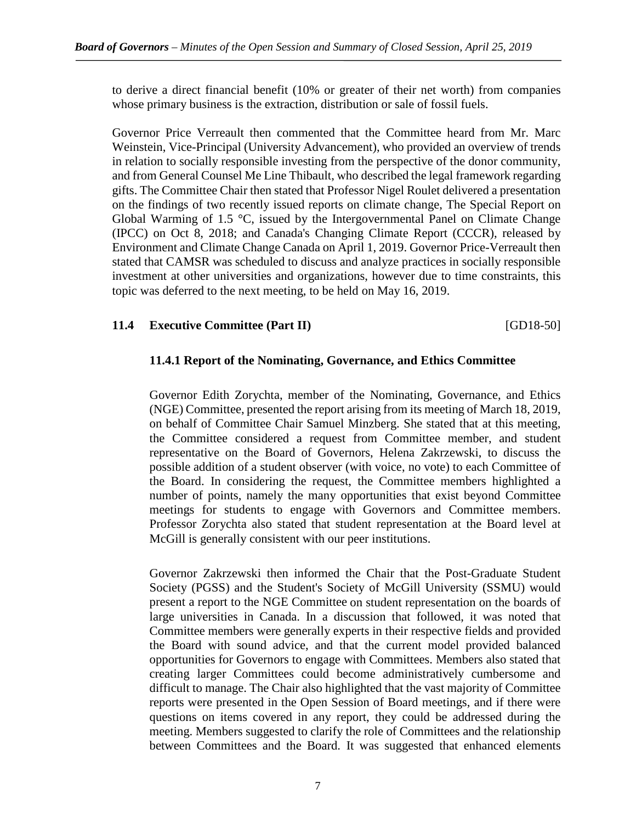to derive a direct financial benefit (10% or greater of their net worth) from companies whose primary business is the extraction, distribution or sale of fossil fuels.

Governor Price Verreault then commented that the Committee heard from Mr. Marc Weinstein, Vice-Principal (University Advancement), who provided an overview of trends in relation to socially responsible investing from the perspective of the donor community, and from General Counsel Me Line Thibault, who described the legal framework regarding gifts. The Committee Chair then stated that Professor Nigel Roulet delivered a presentation on the findings of two recently issued reports on climate change, The Special Report on Global Warming of 1.5 °C, issued by the Intergovernmental Panel on Climate Change (IPCC) on Oct 8, 2018; and Canada's Changing Climate Report (CCCR), released by Environment and Climate Change Canada on April 1, 2019. Governor Price-Verreault then stated that CAMSR was scheduled to discuss and analyze practices in socially responsible investment at other universities and organizations, however due to time constraints, this topic was deferred to the next meeting, to be held on May 16, 2019.

## **11.4 Executive Committee (Part II)** [GD18-50]

## **11.4.1 Report of the Nominating, Governance, and Ethics Committee**

Governor Edith Zorychta, member of the Nominating, Governance, and Ethics (NGE) Committee, presented the report arising from its meeting of March 18, 2019, on behalf of Committee Chair Samuel Minzberg. She stated that at this meeting, the Committee considered a request from Committee member, and student representative on the Board of Governors, Helena Zakrzewski, to discuss the possible addition of a student observer (with voice, no vote) to each Committee of the Board. In considering the request, the Committee members highlighted a number of points, namely the many opportunities that exist beyond Committee meetings for students to engage with Governors and Committee members. Professor Zorychta also stated that student representation at the Board level at McGill is generally consistent with our peer institutions.

Governor Zakrzewski then informed the Chair that the Post-Graduate Student Society (PGSS) and the Student's Society of McGill University (SSMU) would present a report to the NGE Committee on student representation on the boards of large universities in Canada. In a discussion that followed, it was noted that Committee members were generally experts in their respective fields and provided the Board with sound advice, and that the current model provided balanced opportunities for Governors to engage with Committees. Members also stated that creating larger Committees could become administratively cumbersome and difficult to manage. The Chair also highlighted that the vast majority of Committee reports were presented in the Open Session of Board meetings, and if there were questions on items covered in any report, they could be addressed during the meeting. Members suggested to clarify the role of Committees and the relationship between Committees and the Board. It was suggested that enhanced elements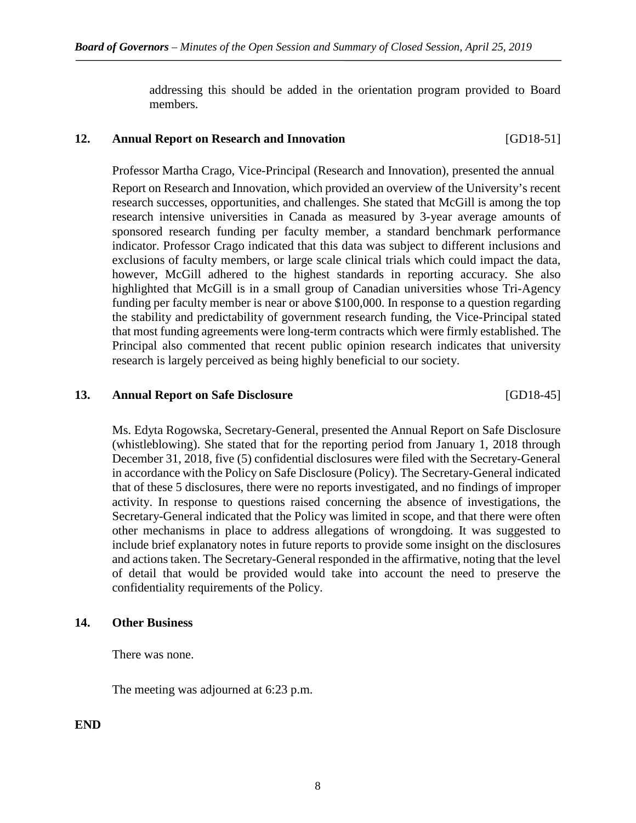addressing this should be added in the orientation program provided to Board members.

## **12. Annual Report on Research and Innovation** [GD18-51]

Professor Martha Crago, Vice-Principal (Research and Innovation), presented the annual

Report on Research and Innovation, which provided an overview of the University's recent research successes, opportunities, and challenges. She stated that McGill is among the top research intensive universities in Canada as measured by 3-year average amounts of sponsored research funding per faculty member, a standard benchmark performance indicator. Professor Crago indicated that this data was subject to different inclusions and exclusions of faculty members, or large scale clinical trials which could impact the data, however, McGill adhered to the highest standards in reporting accuracy. She also highlighted that McGill is in a small group of Canadian universities whose Tri-Agency funding per faculty member is near or above \$100,000. In response to a question regarding the stability and predictability of government research funding, the Vice-Principal stated that most funding agreements were long-term contracts which were firmly established. The Principal also commented that recent public opinion research indicates that university research is largely perceived as being highly beneficial to our society.

## **13. Annual Report on Safe Disclosure** [GD18-45]

Ms. Edyta Rogowska, Secretary-General, presented the Annual Report on Safe Disclosure (whistleblowing). She stated that for the reporting period from January 1, 2018 through December 31, 2018, five (5) confidential disclosures were filed with the Secretary-General in accordance with the Policy on Safe Disclosure (Policy). The Secretary-General indicated that of these 5 disclosures, there were no reports investigated, and no findings of improper activity. In response to questions raised concerning the absence of investigations, the Secretary-General indicated that the Policy was limited in scope, and that there were often other mechanisms in place to address allegations of wrongdoing. It was suggested to include brief explanatory notes in future reports to provide some insight on the disclosures and actions taken. The Secretary-General responded in the affirmative, noting that the level of detail that would be provided would take into account the need to preserve the confidentiality requirements of the Policy.

### **14. Other Business**

There was none.

The meeting was adjourned at 6:23 p.m.

**END**